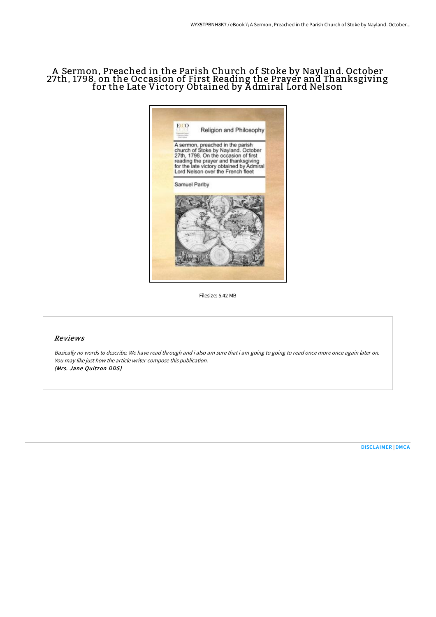## A Sermon, Preached in the Parish Church of Stoke by Nayland. October 27th, 1798. on the Occasion of First Reading the Prayer and Thanksgiving for the Late Victory Obtained by A dmiral Lord Nelson



Filesize: 5.42 MB

## Reviews

Basically no words to describe. We have read through and i also am sure that i am going to going to read once more once again later on. You may like just how the article writer compose this publication. (Mrs. Jane Ouitzon DDS)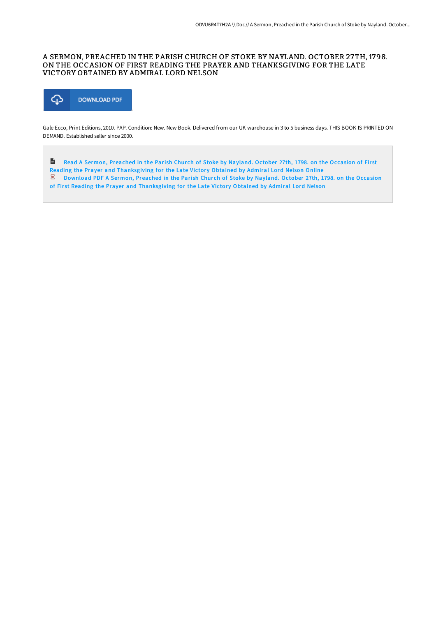## A SERMON, PREACHED IN THE PARISH CHURCH OF STOKE BY NAYLAND. OCTOBER 27TH, 1798. ON THE OCCASION OF FIRST READING THE PRAYER AND THANKSGIVING FOR THE LATE VICTORY OBTAINED BY ADMIRAL LORD NELSON



Gale Ecco, Print Editions, 2010. PAP. Condition: New. New Book. Delivered from our UK warehouse in 3 to 5 business days. THIS BOOK IS PRINTED ON DEMAND. Established seller since 2000.

 $\frac{1}{100}$ Read A Sermon, Preached in the Parish Church of Stoke by Nayland. October 27th, 1798. on the Occasion of First Reading the Prayer and [Thanksgiving](http://techno-pub.tech/a-sermon-preached-in-the-parish-church-of-stoke-.html) for the Late Victory Obtained by Admiral Lord Nelson Online  $\overline{z}$  Download PDF A Sermon, Preached in the Parish Church of Stoke by Nayland. October 27th, 1798. on the Occasion of First Reading the Prayer and [Thanksgiving](http://techno-pub.tech/a-sermon-preached-in-the-parish-church-of-stoke-.html) for the Late Victory Obtained by Admiral Lord Nelson